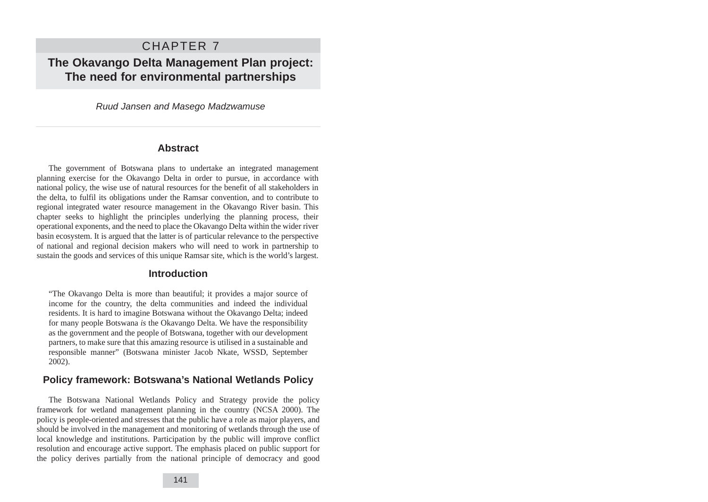# CHAPTER 7

# **The Okavango Delta Management Plan project: The need for environmental partnerships**

Ruud Jansen and Masego Madzwamuse

## **Abstract**

The government of Botswana plans to undertake an integrated management planning exercise for the Okavango Delta in order to pursue, in accordance with national policy, the wise use of natural resources for the benefit of all stakeholders in the delta, to fulfil its obligations under the Ramsar convention, and to contribute to regional integrated water resource management in the Okavango River basin. This chapter seeks to highlight the principles underlying the planning process, their operational exponents, and the need to place the Okavango Delta within the wider river basin ecosystem. It is argued that the latter is of particular relevance to the perspective of national and regional decision makers who will need to work in partnership to sustain the goods and services of this unique Ramsar site, which is the world's largest.

## **Introduction**

"The Okavango Delta is more than beautiful; it provides a major source of income for the country, the delta communities and indeed the individual residents. It is hard to imagine Botswana without the Okavango Delta; indeed for many people Botswana *is* the Okavango Delta. We have the responsibility as the government and the people of Botswana, together with our development partners, to make sure that this amazing resource is utilised in a sustainable and responsible manner" (Botswana minister Jacob Nkate, WSSD, September 2002).

## **Policy framework: Botswana's National Wetlands Policy**

The Botswana National Wetlands Policy and Strategy provide the policy framework for wetland management planning in the country (NCSA 2000). The policy is people-oriented and stresses that the public have a role as major players, and should be involved in the management and monitoring of wetlands through the use of local knowledge and institutions. Participation by the public will improve conflict resolution and encourage active support. The emphasis placed on public support for the policy derives partially from the national principle of democracy and good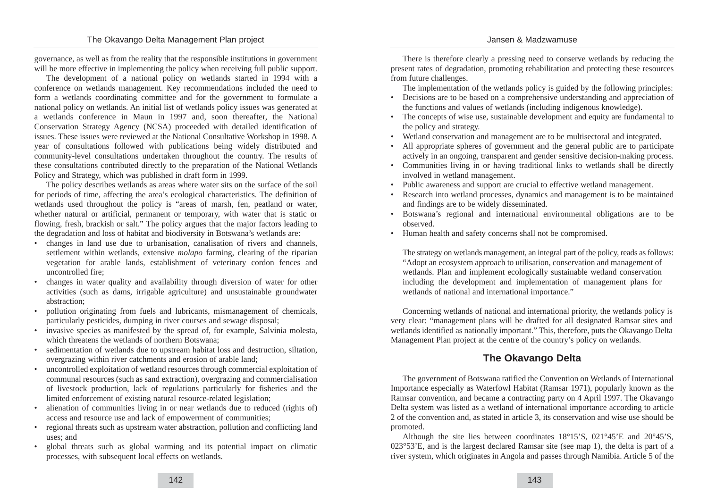governance, as well as from the reality that the responsible institutions in government will be more effective in implementing the policy when receiving full public support.

The development of a national policy on wetlands started in 1994 with a conference on wetlands management. Key recommendations included the need to form a wetlands coordinating committee and for the government to formulate a national policy on wetlands. An initial list of wetlands policy issues was generated at a wetlands conference in Maun in 1997 and, soon thereafter, the National Conservation Strategy Agency (NCSA) proceeded with detailed identification of issues. These issues were reviewed at the National Consultative Workshop in 1998. A year of consultations followed with publications being widely distributed and community-level consultations undertaken throughout the country. The results of these consultations contributed directly to the preparation of the National Wetlands Policy and Strategy, which was published in draft form in 1999.

The policy describes wetlands as areas where water sits on the surface of the soil for periods of time, affecting the area's ecological characteristics. The definition of wetlands used throughout the policy is "areas of marsh, fen, peatland or water, whether natural or artificial, permanent or temporary, with water that is static or flowing, fresh, brackish or salt." The policy argues that the major factors leading to the degradation and loss of habitat and biodiversity in Botswana's wetlands are:

- changes in land use due to urbanisation, canalisation of rivers and channels, settlement within wetlands, extensive *molapo* farming, clearing of the riparian vegetation for arable lands, establishment of veterinary cordon fences and uncontrolled fire;
- changes in water quality and availability through diversion of water for other activities (such as dams, irrigable agriculture) and unsustainable groundwater abstraction;
- pollution originating from fuels and lubricants, mismanagement of chemicals, particularly pesticides, dumping in river courses and sewage disposal;
- invasive species as manifested by the spread of, for example, Salvinia molesta, which threatens the wetlands of northern Botswana;
- sedimentation of wetlands due to upstream habitat loss and destruction, siltation, overgrazing within river catchments and erosion of arable land;
- uncontrolled exploitation of wetland resources through commercial exploitation of communal resources (such as sand extraction), overgrazing and commercialisation of livestock production, lack of regulations particularly for fisheries and the limited enforcement of existing natural resource-related legislation;
- alienation of communities living in or near wetlands due to reduced (rights of) access and resource use and lack of empowerment of communities;
- regional threats such as upstream water abstraction, pollution and conflicting land uses; and
- global threats such as global warming and its potential impact on climatic processes, with subsequent local effects on wetlands.

There is therefore clearly a pressing need to conserve wetlands by reducing the present rates of degradation, promoting rehabilitation and protecting these resources from future challenges.

The implementation of the wetlands policy is guided by the following principles:

- Decisions are to be based on a comprehensive understanding and appreciation of the functions and values of wetlands (including indigenous knowledge).
- The concepts of wise use, sustainable development and equity are fundamental to the policy and strategy.
- Wetland conservation and management are to be multisectoral and integrated.
- All appropriate spheres of government and the general public are to participate actively in an ongoing, transparent and gender sensitive decision-making process.
- Communities living in or having traditional links to wetlands shall be directly involved in wetland management.
- Public awareness and support are crucial to effective wetland management.
- Research into wetland processes, dynamics and management is to be maintained and findings are to be widely disseminated.
- Botswana's regional and international environmental obligations are to be observed.
- Human health and safety concerns shall not be compromised.

The strategy on wetlands management, an integral part of the policy, reads as follows: "Adopt an ecosystem approach to utilisation, conservation and management of wetlands. Plan and implement ecologically sustainable wetland conservation including the development and implementation of management plans for wetlands of national and international importance."

Concerning wetlands of national and international priority, the wetlands policy is very clear: "management plans will be drafted for all designated Ramsar sites and wetlands identified as nationally important." This, therefore, puts the Okavango Delta Management Plan project at the centre of the country's policy on wetlands.

# **The Okavango Delta**

The government of Botswana ratified the Convention on Wetlands of International Importance especially as Waterfowl Habitat (Ramsar 1971), popularly known as the Ramsar convention, and became a contracting party on 4 April 1997. The Okavango Delta system was listed as a wetland of international importance according to article 2 of the convention and, as stated in article 3, its conservation and wise use should be promoted.

Although the site lies between coordinates 18°15'S, 021°45'E and 20°45'S, 023°53'E, and is the largest declared Ramsar site (see map 1), the delta is part of a river system, which originates in Angola and passes through Namibia. Article 5 of the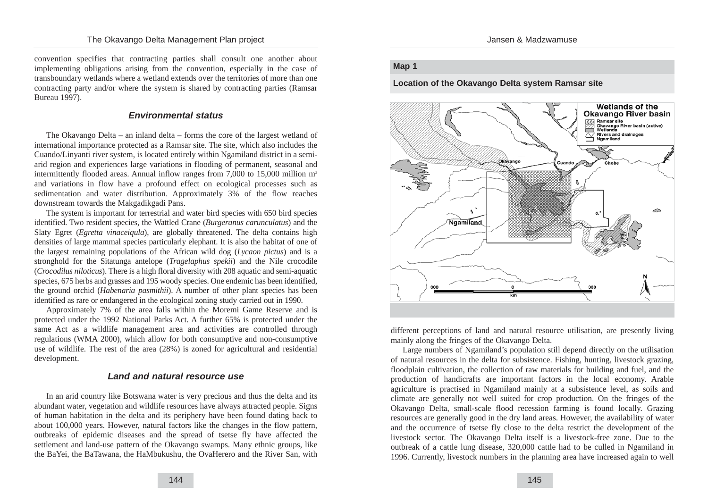convention specifies that contracting parties shall consult one another about implementing obligations arising from the convention, especially in the case of transboundary wetlands where a wetland extends over the territories of more than one contracting party and/or where the system is shared by contracting parties (Ramsar Bureau 1997).

### **Environmental status**

The Okavango Delta – an inland delta – forms the core of the largest wetland of international importance protected as a Ramsar site. The site, which also includes the Cuando/Linyanti river system, is located entirely within Ngamiland district in a semiarid region and experiences large variations in flooding of permanent, seasonal and intermittently flooded areas. Annual inflow ranges from 7,000 to 15,000 million m<sup>3</sup> and variations in flow have a profound effect on ecological processes such as sedimentation and water distribution. Approximately 3% of the flow reaches downstream towards the Makgadikgadi Pans.

The system is important for terrestrial and water bird species with 650 bird species identified. Two resident species, the Wattled Crane (*Burgeranus carunculatus*) and the Slaty Egret (*Egretta vinaceiqula*), are globally threatened. The delta contains high densities of large mammal species particularly elephant. It is also the habitat of one of the largest remaining populations of the African wild dog (*Lycaon pictus*) and is a stronghold for the Sitatunga antelope (*Tragelaphus spekii*) and the Nile crocodile (*Crocodilus niloticus*). There is a high floral diversity with 208 aquatic and semi-aquatic species, 675 herbs and grasses and 195 woody species. One endemic has been identified, the ground orchid (*Habenaria pasmithii*). A number of other plant species has been identified as rare or endangered in the ecological zoning study carried out in 1990.

Approximately 7% of the area falls within the Moremi Game Reserve and is protected under the 1992 National Parks Act. A further 65% is protected under the same Act as a wildlife management area and activities are controlled through regulations (WMA 2000), which allow for both consumptive and non-consumptive use of wildlife. The rest of the area (28%) is zoned for agricultural and residential development.

### **Land and natural resource use**

In an arid country like Botswana water is very precious and thus the delta and its abundant water, vegetation and wildlife resources have always attracted people. Signs of human habitation in the delta and its periphery have been found dating back to about 100,000 years. However, natural factors like the changes in the flow pattern, outbreaks of epidemic diseases and the spread of tsetse fly have affected the settlement and land-use pattern of the Okavango swamps. Many ethnic groups, like the BaYei, the BaTawana, the HaMbukushu, the OvaHerero and the River San, with

### **Map 1**

### **Location of the Okavango Delta system Ramsar site**



different perceptions of land and natural resource utilisation, are presently living mainly along the fringes of the Okavango Delta.

Large numbers of Ngamiland's population still depend directly on the utilisation of natural resources in the delta for subsistence. Fishing, hunting, livestock grazing, floodplain cultivation, the collection of raw materials for building and fuel, and the production of handicrafts are important factors in the local economy. Arable agriculture is practised in Ngamiland mainly at a subsistence level, as soils and climate are generally not well suited for crop production. On the fringes of the Okavango Delta, small-scale flood recession farming is found locally. Grazing resources are generally good in the dry land areas. However, the availability of water and the occurrence of tsetse fly close to the delta restrict the development of the livestock sector. The Okavango Delta itself is a livestock-free zone. Due to the outbreak of a cattle lung disease, 320,000 cattle had to be culled in Ngamiland in 1996. Currently, livestock numbers in the planning area have increased again to well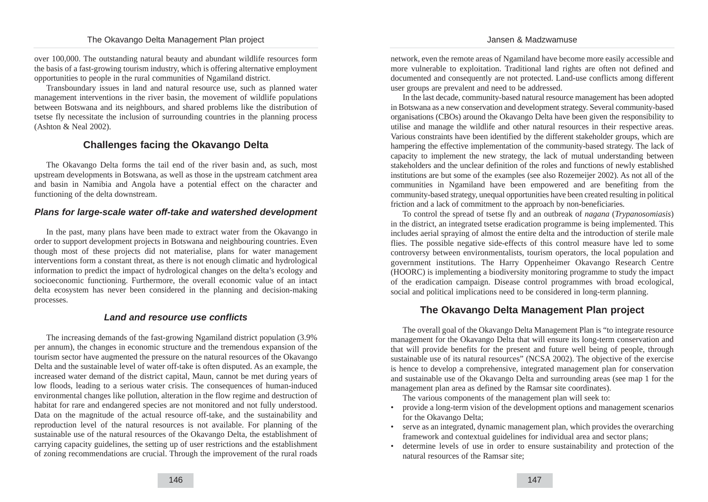over 100,000. The outstanding natural beauty and abundant wildlife resources form the basis of a fast-growing tourism industry, which is offering alternative employment opportunities to people in the rural communities of Ngamiland district.

Transboundary issues in land and natural resource use, such as planned water management interventions in the river basin, the movement of wildlife populations between Botswana and its neighbours, and shared problems like the distribution of tsetse fly necessitate the inclusion of surrounding countries in the planning process (Ashton & Neal 2002).

# **Challenges facing the Okavango Delta**

The Okavango Delta forms the tail end of the river basin and, as such, most upstream developments in Botswana, as well as those in the upstream catchment area and basin in Namibia and Angola have a potential effect on the character and functioning of the delta downstream.

## **Plans for large-scale water off-take and watershed development**

In the past, many plans have been made to extract water from the Okavango in order to support development projects in Botswana and neighbouring countries. Even though most of these projects did not materialise, plans for water management interventions form a constant threat, as there is not enough climatic and hydrological information to predict the impact of hydrological changes on the delta's ecology and socioeconomic functioning. Furthermore, the overall economic value of an intact delta ecosystem has never been considered in the planning and decision-making processes.

## **Land and resource use conflicts**

The increasing demands of the fast-growing Ngamiland district population (3.9% per annum), the changes in economic structure and the tremendous expansion of the tourism sector have augmented the pressure on the natural resources of the Okavango Delta and the sustainable level of water off-take is often disputed. As an example, the increased water demand of the district capital, Maun, cannot be met during years of low floods, leading to a serious water crisis. The consequences of human-induced environmental changes like pollution, alteration in the flow regime and destruction of habitat for rare and endangered species are not monitored and not fully understood. Data on the magnitude of the actual resource off-take, and the sustainability and reproduction level of the natural resources is not available. For planning of the sustainable use of the natural resources of the Okavango Delta, the establishment of carrying capacity guidelines, the setting up of user restrictions and the establishment of zoning recommendations are crucial. Through the improvement of the rural roads network, even the remote areas of Ngamiland have become more easily accessible and more vulnerable to exploitation. Traditional land rights are often not defined and documented and consequently are not protected. Land-use conflicts among different user groups are prevalent and need to be addressed.

In the last decade, community-based natural resource management has been adopted in Botswana as a new conservation and development strategy. Several community-based organisations (CBOs) around the Okavango Delta have been given the responsibility to utilise and manage the wildlife and other natural resources in their respective areas. Various constraints have been identified by the different stakeholder groups, which are hampering the effective implementation of the community-based strategy. The lack of capacity to implement the new strategy, the lack of mutual understanding between stakeholders and the unclear definition of the roles and functions of newly established institutions are but some of the examples (see also Rozemeijer 2002). As not all of the communities in Ngamiland have been empowered and are benefiting from the community-based strategy, unequal opportunities have been created resulting in political friction and a lack of commitment to the approach by non-beneficiaries.

To control the spread of tsetse fly and an outbreak of *nagana* (*Trypanosomiasis*) in the district, an integrated tsetse eradication programme is being implemented. This includes aerial spraying of almost the entire delta and the introduction of sterile male flies. The possible negative side-effects of this control measure have led to some controversy between environmentalists, tourism operators, the local population and government institutions. The Harry Oppenheimer Okavango Research Centre (HOORC) is implementing a biodiversity monitoring programme to study the impact of the eradication campaign. Disease control programmes with broad ecological, social and political implications need to be considered in long-term planning.

# **The Okavango Delta Management Plan project**

The overall goal of the Okavango Delta Management Plan is "to integrate resource management for the Okavango Delta that will ensure its long-term conservation and that will provide benefits for the present and future well being of people, through sustainable use of its natural resources" (NCSA 2002). The objective of the exercise is hence to develop a comprehensive, integrated management plan for conservation and sustainable use of the Okavango Delta and surrounding areas (see map 1 for the management plan area as defined by the Ramsar site coordinates).

The various components of the management plan will seek to:

- provide a long-term vision of the development options and management scenarios for the Okavango Delta;
- serve as an integrated, dynamic management plan, which provides the overarching framework and contextual guidelines for individual area and sector plans;
- determine levels of use in order to ensure sustainability and protection of the natural resources of the Ramsar site;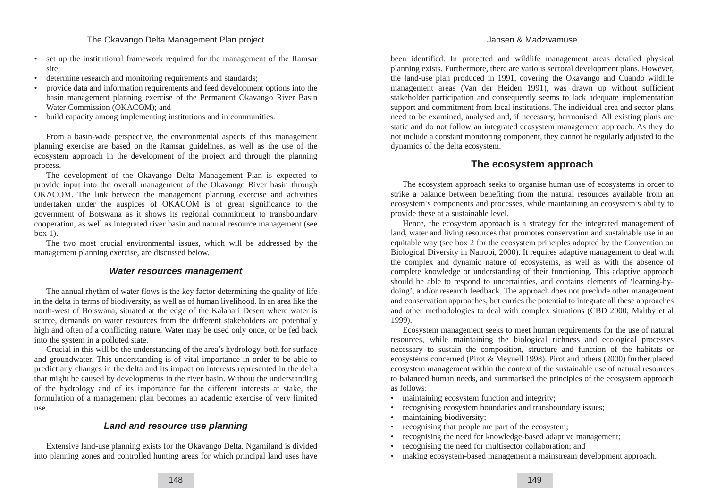- set up the institutional framework required for the management of the Ramsar site;
- determine research and monitoring requirements and standards;
- provide data and information requirements and feed development options into the basin management planning exercise of the Permanent Okavango River Basin Water Commission (OKACOM); and
- build capacity among implementing institutions and in communities.

From a basin-wide perspective, the environmental aspects of this management planning exercise are based on the Ramsar guidelines, as well as the use of the ecosystem approach in the development of the project and through the planning process.

The development of the Okavango Delta Management Plan is expected to provide input into the overall management of the Okavango River basin through OKACOM. The link between the management planning exercise and activities undertaken under the auspices of OKACOM is of great significance to the government of Botswana as it shows its regional commitment to transboundary cooperation, as well as integrated river basin and natural resource management (see box 1).

The two most crucial environmental issues, which will be addressed by the management planning exercise, are discussed below.

### **Water resources management**

The annual rhythm of water flows is the key factor determining the quality of life in the delta in terms of biodiversity, as well as of human livelihood. In an area like the north-west of Botswana, situated at the edge of the Kalahari Desert where water is scarce, demands on water resources from the different stakeholders are potentially high and often of a conflicting nature. Water may be used only once, or be fed back into the system in a polluted state.

Crucial in this will be the understanding of the area's hydrology, both for surface and groundwater. This understanding is of vital importance in order to be able to predict any changes in the delta and its impact on interests represented in the delta that might be caused by developments in the river basin. Without the understanding of the hydrology and of its importance for the different interests at stake, the formulation of a management plan becomes an academic exercise of very limited use.

## **Land and resource use planning**

Extensive land-use planning exists for the Okavango Delta. Ngamiland is divided into planning zones and controlled hunting areas for which principal land uses have been identified. In protected and wildlife management areas detailed physical planning exists. Furthermore, there are various sectoral development plans. However, the land-use plan produced in 1991, covering the Okavango and Cuando wildlife management areas (Van der Heiden 1991), was drawn up without sufficient stakeholder participation and consequently seems to lack adequate implementation support and commitment from local institutions. The individual area and sector plans need to be examined, analysed and, if necessary, harmonised. All existing plans are static and do not follow an integrated ecosystem management approach. As they do not include a constant monitoring component, they cannot be regularly adjusted to the dynamics of the delta ecosystem.

## **The ecosystem approach**

The ecosystem approach seeks to organise human use of ecosystems in order to strike a balance between benefiting from the natural resources available from an ecosystem's components and processes, while maintaining an ecosystem's ability to provide these at a sustainable level.

Hence, the ecosystem approach is a strategy for the integrated management of land, water and living resources that promotes conservation and sustainable use in an equitable way (see box 2 for the ecosystem principles adopted by the Convention on Biological Diversity in Nairobi, 2000). It requires adaptive management to deal with the complex and dynamic nature of ecosystems, as well as with the absence of complete knowledge or understanding of their functioning. This adaptive approach should be able to respond to uncertainties, and contains elements of 'learning-bydoing', and/or research feedback. The approach does not preclude other management and conservation approaches, but carries the potential to integrate all these approaches and other methodologies to deal with complex situations (CBD 2000; Maltby et al 1999).

Ecosystem management seeks to meet human requirements for the use of natural resources, while maintaining the biological richness and ecological processes necessary to sustain the composition, structure and function of the habitats or ecosystems concerned (Pirot & Meynell 1998). Pirot and others (2000) further placed ecosystem management within the context of the sustainable use of natural resources to balanced human needs, and summarised the principles of the ecosystem approach as follows:

- maintaining ecosystem function and integrity;
- recognising ecosystem boundaries and transboundary issues;
- maintaining biodiversity;
- recognising that people are part of the ecosystem;
- recognising the need for knowledge-based adaptive management;
- recognising the need for multisector collaboration; and
- making ecosystem-based management a mainstream development approach.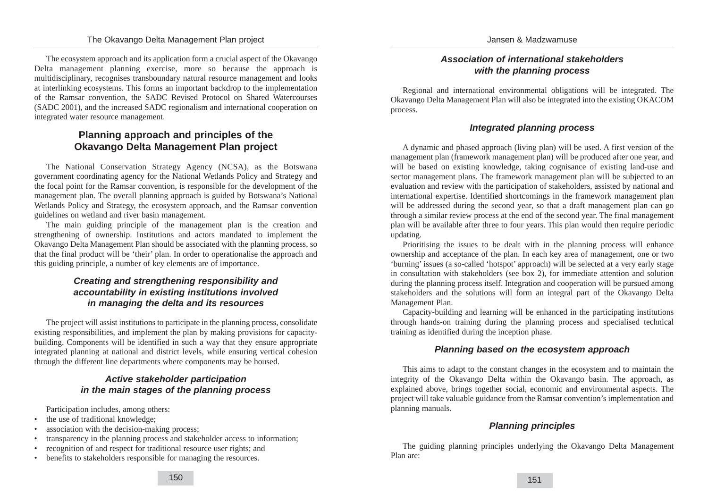#### The Okavango Delta Management Plan project

The ecosystem approach and its application form a crucial aspect of the Okavango Delta management planning exercise, more so because the approach is multidisciplinary, recognises transboundary natural resource management and looks at interlinking ecosystems. This forms an important backdrop to the implementation of the Ramsar convention, the SADC Revised Protocol on Shared Watercourses (SADC 2001), and the increased SADC regionalism and international cooperation on integrated water resource management.

## **Planning approach and principles of the Okavango Delta Management Plan project**

The National Conservation Strategy Agency (NCSA), as the Botswana government coordinating agency for the National Wetlands Policy and Strategy and the focal point for the Ramsar convention, is responsible for the development of the management plan. The overall planning approach is guided by Botswana's National Wetlands Policy and Strategy, the ecosystem approach, and the Ramsar convention guidelines on wetland and river basin management.

The main guiding principle of the management plan is the creation and strengthening of ownership. Institutions and actors mandated to implement the Okavango Delta Management Plan should be associated with the planning process, so that the final product will be 'their' plan. In order to operationalise the approach and this guiding principle, a number of key elements are of importance.

## **Creating and strengthening responsibility and accountability in existing institutions involved in managing the delta and its resources**

The project will assist institutions to participate in the planning process, consolidate existing responsibilities, and implement the plan by making provisions for capacitybuilding. Components will be identified in such a way that they ensure appropriate integrated planning at national and district levels, while ensuring vertical cohesion through the different line departments where components may be housed.

## **Active stakeholder participation in the main stages of the planning process**

Participation includes, among others:

- the use of traditional knowledge;
- association with the decision-making process;
- transparency in the planning process and stakeholder access to information;
- recognition of and respect for traditional resource user rights; and
- benefits to stakeholders responsible for managing the resources.

## **Association of international stakeholders with the planning process**

Regional and international environmental obligations will be integrated. The Okavango Delta Management Plan will also be integrated into the existing OKACOM process.

## **Integrated planning process**

A dynamic and phased approach (living plan) will be used. A first version of the management plan (framework management plan) will be produced after one year, and will be based on existing knowledge, taking cognisance of existing land-use and sector management plans. The framework management plan will be subjected to an evaluation and review with the participation of stakeholders, assisted by national and international expertise. Identified shortcomings in the framework management plan will be addressed during the second year, so that a draft management plan can go through a similar review process at the end of the second year. The final management plan will be available after three to four years. This plan would then require periodic updating.

Prioritising the issues to be dealt with in the planning process will enhance ownership and acceptance of the plan. In each key area of management, one or two 'burning' issues (a so-called 'hotspot' approach) will be selected at a very early stage in consultation with stakeholders (see box 2), for immediate attention and solution during the planning process itself. Integration and cooperation will be pursued among stakeholders and the solutions will form an integral part of the Okavango Delta Management Plan.

Capacity-building and learning will be enhanced in the participating institutions through hands-on training during the planning process and specialised technical training as identified during the inception phase.

## **Planning based on the ecosystem approach**

This aims to adapt to the constant changes in the ecosystem and to maintain the integrity of the Okavango Delta within the Okavango basin. The approach, as explained above, brings together social, economic and environmental aspects. The project will take valuable guidance from the Ramsar convention's implementation and planning manuals.

## **Planning principles**

The guiding planning principles underlying the Okavango Delta Management Plan are: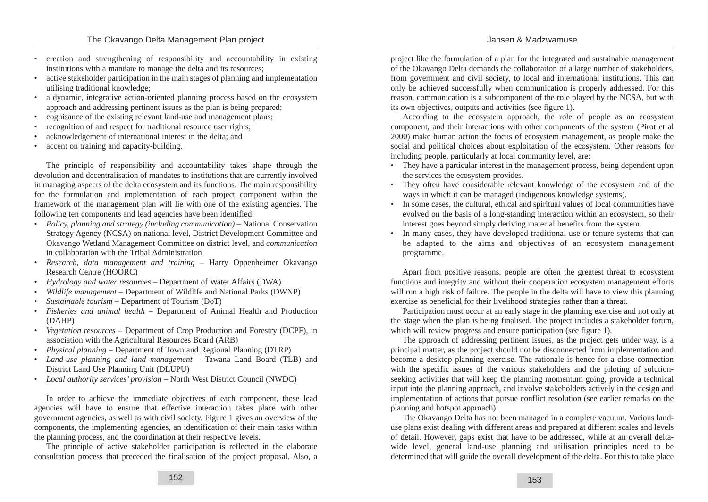- creation and strengthening of responsibility and accountability in existing institutions with a mandate to manage the delta and its resources;
- active stakeholder participation in the main stages of planning and implementation utilising traditional knowledge;
- a dynamic, integrative action-oriented planning process based on the ecosystem approach and addressing pertinent issues as the plan is being prepared;
- cognisance of the existing relevant land-use and management plans;
- recognition of and respect for traditional resource user rights;
- acknowledgement of international interest in the delta; and
- accent on training and capacity-building.

The principle of responsibility and accountability takes shape through the devolution and decentralisation of mandates to institutions that are currently involved in managing aspects of the delta ecosystem and its functions. The main responsibility for the formulation and implementation of each project component within the framework of the management plan will lie with one of the existing agencies. The following ten components and lead agencies have been identified:

- *Policy, planning and strategy (including communication)* National Conservation Strategy Agency (NCSA) on national level, District Development Committee and Okavango Wetland Management Committee on district level, and *communication* in collaboration with the Tribal Administration
- *Research, data management and training* Harry Oppenheimer Okavango Research Centre (HOORC)
- *Hydrology and water resources* Department of Water Affairs (DWA)
- *Wildlife management* Department of Wildlife and National Parks (DWNP)
- *Sustainable tourism* Department of Tourism (DoT)
- *Fisheries and animal health* Department of Animal Health and Production (DAHP)
- *Vegetation resources* Department of Crop Production and Forestry (DCPF), in association with the Agricultural Resources Board (ARB)
- *Physical planning* Department of Town and Regional Planning (DTRP)
- *Land-use planning and land management* Tawana Land Board (TLB) and District Land Use Planning Unit (DLUPU)
- *Local authority services' provision* North West District Council (NWDC)

In order to achieve the immediate objectives of each component, these lead agencies will have to ensure that effective interaction takes place with other government agencies, as well as with civil society. Figure 1 gives an overview of the components, the implementing agencies, an identification of their main tasks within the planning process, and the coordination at their respective levels.

The principle of active stakeholder participation is reflected in the elaborate consultation process that preceded the finalisation of the project proposal. Also, a project like the formulation of a plan for the integrated and sustainable management of the Okavango Delta demands the collaboration of a large number of stakeholders, from government and civil society, to local and international institutions. This can only be achieved successfully when communication is properly addressed. For this reason, communication is a subcomponent of the role played by the NCSA, but with its own objectives, outputs and activities (see figure 1).

According to the ecosystem approach, the role of people as an ecosystem component, and their interactions with other components of the system (Pirot et al 2000) make human action the focus of ecosystem management, as people make the social and political choices about exploitation of the ecosystem. Other reasons for including people, particularly at local community level, are:

- They have a particular interest in the management process, being dependent upon the services the ecosystem provides.
- They often have considerable relevant knowledge of the ecosystem and of the ways in which it can be managed (indigenous knowledge systems).
- In some cases, the cultural, ethical and spiritual values of local communities have evolved on the basis of a long-standing interaction within an ecosystem, so their interest goes beyond simply deriving material benefits from the system.
- In many cases, they have developed traditional use or tenure systems that can be adapted to the aims and objectives of an ecosystem management programme.

Apart from positive reasons, people are often the greatest threat to ecosystem functions and integrity and without their cooperation ecosystem management efforts will run a high risk of failure. The people in the delta will have to view this planning exercise as beneficial for their livelihood strategies rather than a threat.

Participation must occur at an early stage in the planning exercise and not only at the stage when the plan is being finalised. The project includes a stakeholder forum*,* which will review progress and ensure participation (see figure 1).

The approach of addressing pertinent issues*,* as the project gets under way, is a principal matter, as the project should not be disconnected from implementation and become a desktop planning exercise. The rationale is hence for a close connection with the specific issues of the various stakeholders and the piloting of solutionseeking activities that will keep the planning momentum going, provide a technical input into the planning approach, and involve stakeholders actively in the design and implementation of actions that pursue conflict resolution (see earlier remarks on the planning and hotspot approach).

The Okavango Delta has not been managed in a complete vacuum. Various landuse plans exist dealing with different areas and prepared at different scales and levels of detail. However, gaps exist that have to be addressed, while at an overall deltawide level, general land-use planning and utilisation principles need to be determined that will guide the overall development of the delta. For this to take place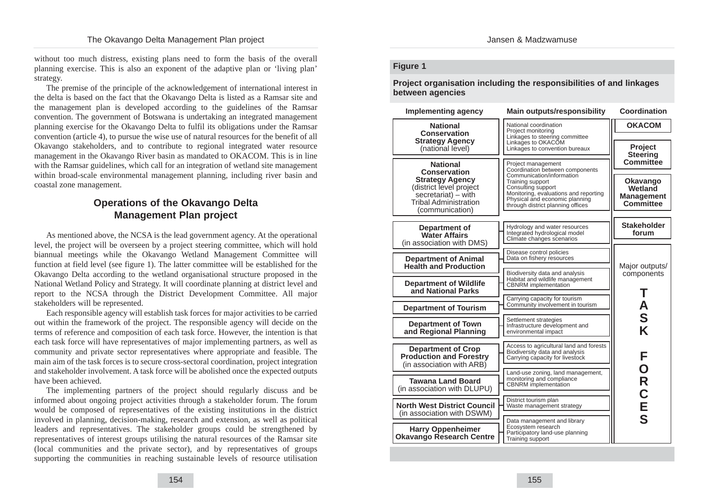### The Okavango Delta Management Plan project

without too much distress, existing plans need to form the basis of the overall planning exercise. This is also an exponent of the adaptive plan or 'living plan' strategy.

The premise of the principle of the acknowledgement of international interest in the delta is based on the fact that the Okavango Delta is listed as a Ramsar site and the management plan is developed according to the guidelines of the Ramsar convention. The government of Botswana is undertaking an integrated management planning exercise for the Okavango Delta to fulfil its obligations under the Ramsar convention (article 4), to pursue the wise use of natural resources for the benefit of all Okavango stakeholders, and to contribute to regional integrated water resource management in the Okavango River basin as mandated to OKACOM. This is in line with the Ramsar guidelines, which call for an integration of wetland site management within broad-scale environmental management planning, including river basin and coastal zone management.

## **Operations of the Okavango Delta Management Plan project**

As mentioned above, the NCSA is the lead government agency. At the operational level, the project will be overseen by a project steering committee, which will hold biannual meetings while the Okavango Wetland Management Committee will function at field level (see figure 1). The latter committee will be established for the Okavango Delta according to the wetland organisational structure proposed in the National Wetland Policy and Strategy. It will coordinate planning at district level and report to the NCSA through the District Development Committee. All major stakeholders will be represented.

Each responsible agency will establish task forces for major activities to be carried out within the framework of the project. The responsible agency will decide on the terms of reference and composition of each task force. However, the intention is that each task force will have representatives of major implementing partners, as well as community and private sector representatives where appropriate and feasible. The main aim of the task forces is to secure cross-sectoral coordination, project integration and stakeholder involvement. A task force will be abolished once the expected outputs have been achieved.

The implementing partners of the project should regularly discuss and be informed about ongoing project activities through a stakeholder forum. The forum would be composed of representatives of the existing institutions in the district involved in planning, decision-making, research and extension, as well as political leaders and representatives. The stakeholder groups could be strengthened by representatives of interest groups utilising the natural resources of the Ramsar site (local communities and the private sector), and by representatives of groups supporting the communities in reaching sustainable levels of resource utilisation

### **Figure 1**

**Project organisation including the responsibilities of and linkages between agencies**

| <b>Implementing agency</b>                                                                                                  | <b>Main outputs/responsibility</b>                                                                                                                                                  | Coordination                                                 |
|-----------------------------------------------------------------------------------------------------------------------------|-------------------------------------------------------------------------------------------------------------------------------------------------------------------------------------|--------------------------------------------------------------|
| <b>National</b><br><b>Conservation</b>                                                                                      | National coordination<br>Project monitoring<br>Linkages to steering committee                                                                                                       | <b>OKACOM</b>                                                |
| <b>Strategy Agency</b><br>(national level)                                                                                  | Linkages to OKACOM<br>Linkages to convention bureaux                                                                                                                                | <b>Project</b><br><b>Steering</b>                            |
| <b>National</b><br><b>Conservation</b>                                                                                      | Project management<br>Coordination between components                                                                                                                               | Committee                                                    |
| <b>Strategy Agency</b><br>(district level project<br>secretariat) - with<br><b>Tribal Administration</b><br>(communication) | Communication/information<br>Training support<br>Consulting support<br>Monitoring, evaluations and reporting<br>Physical and economic planning<br>through district planning offices | Okavango<br>Wetland<br><b>Management</b><br><b>Committee</b> |
| Department of<br><b>Water Affairs</b><br>(in association with DMS)                                                          | Hydrology and water resources<br>Integrated hydrological model<br>Climate changes scenarios                                                                                         | <b>Stakeholder</b><br>forum                                  |
| <b>Department of Animal</b>                                                                                                 | Disease control policies<br>Data on fishery resources                                                                                                                               |                                                              |
| <b>Health and Production</b>                                                                                                | Biodiversity data and analysis                                                                                                                                                      | Major outputs/<br>components                                 |
| <b>Department of Wildlife</b><br>and National Parks                                                                         | Habitat and wildlife management<br><b>CBNRM</b> implementation                                                                                                                      |                                                              |
| <b>Department of Tourism</b>                                                                                                | Carrying capacity for tourism<br>Community involvement in tourism                                                                                                                   | А                                                            |
| <b>Department of Town</b><br>and Regional Planning                                                                          | Settlement strategies<br>Infrastructure development and<br>environmental impact                                                                                                     | S<br>Κ                                                       |
| <b>Department of Crop</b><br><b>Production and Forestry</b><br>(in association with ARB)                                    | Access to agricultural land and forests<br>Biodiversity data and analysis<br>Carrying capacity for livestock                                                                        | F<br>O                                                       |
| <b>Tawana Land Board</b><br>(in association with DLUPU)                                                                     | Land-use zoning, land management,<br>monitoring and compliance<br><b>CBNRM</b> implementation                                                                                       | R<br>C                                                       |
| <b>North West District Council</b><br>(in association with DSWM)                                                            | District tourism plan<br>Waste management strategy                                                                                                                                  | Е<br>S                                                       |
| <b>Harry Oppenheimer</b><br><b>Okavango Research Centre</b>                                                                 | Data management and library<br>Ecosystem research<br>Participatory land-use planning<br>Training support                                                                            |                                                              |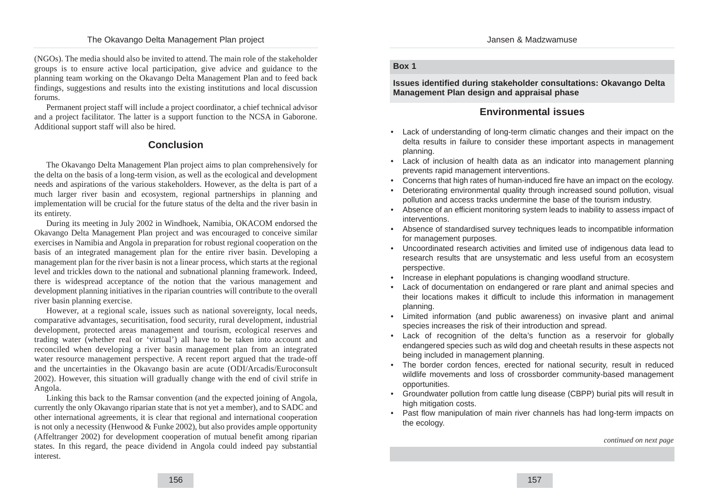(NGOs). The media should also be invited to attend. The main role of the stakeholder groups is to ensure active local participation, give advice and guidance to the planning team working on the Okavango Delta Management Plan and to feed back findings, suggestions and results into the existing institutions and local discussion forums.

Permanent project staff will include a project coordinator, a chief technical advisor and a project facilitator. The latter is a support function to the NCSA in Gaborone. Additional support staff will also be hired.

# **Conclusion**

The Okavango Delta Management Plan project aims to plan comprehensively for the delta on the basis of a long-term vision, as well as the ecological and development needs and aspirations of the various stakeholders. However, as the delta is part of a much larger river basin and ecosystem, regional partnerships in planning and implementation will be crucial for the future status of the delta and the river basin in its entirety.

During its meeting in July 2002 in Windhoek, Namibia, OKACOM endorsed the Okavango Delta Management Plan project and was encouraged to conceive similar exercises in Namibia and Angola in preparation for robust regional cooperation on the basis of an integrated management plan for the entire river basin. Developing a management plan for the river basin is not a linear process, which starts at the regional level and trickles down to the national and subnational planning framework. Indeed, there is widespread acceptance of the notion that the various management and development planning initiatives in the riparian countries will contribute to the overall river basin planning exercise.

However, at a regional scale, issues such as national sovereignty, local needs, comparative advantages, securitisation, food security, rural development, industrial development, protected areas management and tourism, ecological reserves and trading water (whether real or 'virtual') all have to be taken into account and reconciled when developing a river basin management plan from an integrated water resource management perspective. A recent report argued that the trade-off and the uncertainties in the Okavango basin are acute (ODI/Arcadis/Euroconsult 2002). However, this situation will gradually change with the end of civil strife in Angola.

Linking this back to the Ramsar convention (and the expected joining of Angola, currently the only Okavango riparian state that is not yet a member), and to SADC and other international agreements, it is clear that regional and international cooperation is not only a necessity (Henwood & Funke 2002), but also provides ample opportunity (Affeltranger 2002) for development cooperation of mutual benefit among riparian states. In this regard, the peace dividend in Angola could indeed pay substantial interest.

### **Box 1**

**Issues identified during stakeholder consultations: Okavango Delta Management Plan design and appraisal phase**

# **Environmental issues**

- Lack of understanding of long-term climatic changes and their impact on the delta results in failure to consider these important aspects in management planning.
- Lack of inclusion of health data as an indicator into management planning prevents rapid management interventions.
- Concerns that high rates of human-induced fire have an impact on the ecology.
- Deteriorating environmental quality through increased sound pollution, visual pollution and access tracks undermine the base of the tourism industry.
- Absence of an efficient monitoring system leads to inability to assess impact of interventions.
- Absence of standardised survey techniques leads to incompatible information for management purposes.
- Uncoordinated research activities and limited use of indigenous data lead to research results that are unsystematic and less useful from an ecosystem perspective.
- Increase in elephant populations is changing woodland structure.
- Lack of documentation on endangered or rare plant and animal species and their locations makes it difficult to include this information in management planning.
- Limited information (and public awareness) on invasive plant and animal species increases the risk of their introduction and spread.
- Lack of recognition of the delta's function as a reservoir for globally endangered species such as wild dog and cheetah results in these aspects not being included in management planning.
- The border cordon fences, erected for national security, result in reduced wildlife movements and loss of crossborder community-based management opportunities.
- Groundwater pollution from cattle lung disease (CBPP) burial pits will result in high mitigation costs.
- Past flow manipulation of main river channels has had long-term impacts on the ecology.

*continued on next page*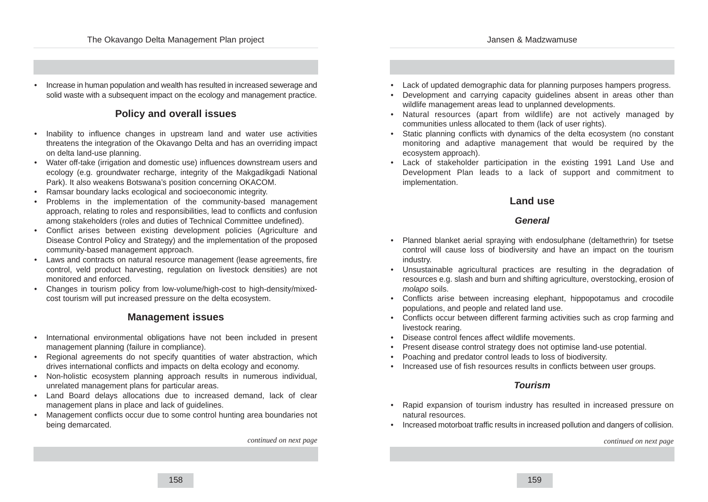• Increase in human population and wealth has resulted in increased sewerage and solid waste with a subsequent impact on the ecology and management practice.

# **Policy and overall issues**

- Inability to influence changes in upstream land and water use activities threatens the integration of the Okavango Delta and has an overriding impact on delta land-use planning.
- Water off-take (irrigation and domestic use) influences downstream users and ecology (e.g. groundwater recharge, integrity of the Makgadikgadi National Park). It also weakens Botswana's position concerning OKACOM.
- Ramsar boundary lacks ecological and socioeconomic integrity.
- Problems in the implementation of the community-based management approach, relating to roles and responsibilities, lead to conflicts and confusion among stakeholders (roles and duties of Technical Committee undefined).
- Conflict arises between existing development policies (Agriculture and Disease Control Policy and Strategy) and the implementation of the proposed community-based management approach.
- Laws and contracts on natural resource management (lease agreements, fire control, veld product harvesting, regulation on livestock densities) are not monitored and enforced.
- Changes in tourism policy from low-volume/high-cost to high-density/mixedcost tourism will put increased pressure on the delta ecosystem.

## **Management issues**

- International environmental obligations have not been included in present management planning (failure in compliance).
- Regional agreements do not specify quantities of water abstraction, which drives international conflicts and impacts on delta ecology and economy.
- Non-holistic ecosystem planning approach results in numerous individual, unrelated management plans for particular areas.
- Land Board delays allocations due to increased demand, lack of clear management plans in place and lack of guidelines.
- Management conflicts occur due to some control hunting area boundaries not being demarcated.

*continued on next page* 

- Lack of updated demographic data for planning purposes hampers progress.
- Development and carrying capacity guidelines absent in areas other than wildlife management areas lead to unplanned developments.
- Natural resources (apart from wildlife) are not actively managed by communities unless allocated to them (lack of user rights).
- Static planning conflicts with dynamics of the delta ecosystem (no constant monitoring and adaptive management that would be required by the ecosystem approach).
- Lack of stakeholder participation in the existing 1991 Land Use and Development Plan leads to a lack of support and commitment to implementation.

## **Land use**

## **General**

- Planned blanket aerial spraying with endosulphane (deltamethrin) for tsetse control will cause loss of biodiversity and have an impact on the tourism industry.
- Unsustainable agricultural practices are resulting in the degradation of resources e.g. slash and burn and shifting agriculture, overstocking, erosion of molapo soils.
- Conflicts arise between increasing elephant, hippopotamus and crocodile populations, and people and related land use.
- Conflicts occur between different farming activities such as crop farming and livestock rearing.
- Disease control fences affect wildlife movements.
- Present disease control strategy does not optimise land-use potential.
- Poaching and predator control leads to loss of biodiversity.
- Increased use of fish resources results in conflicts between user groups.

## **Tourism**

- Rapid expansion of tourism industry has resulted in increased pressure on natural resources.
- Increased motorboat traffic results in increased pollution and dangers of collision.

*continued on next page*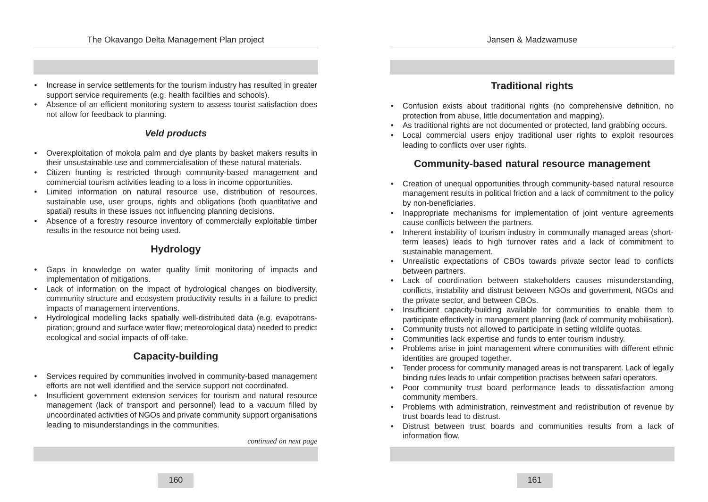• Increase in service settlements for the tourism industry has resulted in greater support service requirements (e.g. health facilities and schools).

• Absence of an efficient monitoring system to assess tourist satisfaction does not allow for feedback to planning.

## **Veld products**

- Overexploitation of mokola palm and dye plants by basket makers results in their unsustainable use and commercialisation of these natural materials.
- Citizen hunting is restricted through community-based management and commercial tourism activities leading to a loss in income opportunities.
- Limited information on natural resource use, distribution of resources, sustainable use, user groups, rights and obligations (both quantitative and spatial) results in these issues not influencing planning decisions.
- Absence of a forestry resource inventory of commercially exploitable timber results in the resource not being used.

# **Hydrology**

- Gaps in knowledge on water quality limit monitoring of impacts and implementation of mitigations.
- Lack of information on the impact of hydrological changes on biodiversity, community structure and ecosystem productivity results in a failure to predict impacts of management interventions.
- Hydrological modelling lacks spatially well-distributed data (e.g. evapotranspiration; ground and surface water flow; meteorological data) needed to predict ecological and social impacts of off-take.

# **Capacity-building**

- Services required by communities involved in community-based management efforts are not well identified and the service support not coordinated.
- Insufficient government extension services for tourism and natural resource management (lack of transport and personnel) lead to a vacuum filled by uncoordinated activities of NGOs and private community support organisations leading to misunderstandings in the communities.

*continued on next page* 

# **Traditional rights**

- Confusion exists about traditional rights (no comprehensive definition, no protection from abuse, little documentation and mapping).
- As traditional rights are not documented or protected, land grabbing occurs.
- Local commercial users enjoy traditional user rights to exploit resources leading to conflicts over user rights.

## **Community-based natural resource management**

- Creation of unequal opportunities through community-based natural resource management results in political friction and a lack of commitment to the policy by non-beneficiaries.
- Inappropriate mechanisms for implementation of joint venture agreements cause conflicts between the partners.
- Inherent instability of tourism industry in communally managed areas (shortterm leases) leads to high turnover rates and a lack of commitment to sustainable management.
- Unrealistic expectations of CBOs towards private sector lead to conflicts between partners.
- Lack of coordination between stakeholders causes misunderstanding, conflicts, instability and distrust between NGOs and government, NGOs and the private sector, and between CBOs.
- Insufficient capacity-building available for communities to enable them to participate effectively in management planning (lack of community mobilisation).
- Community trusts not allowed to participate in setting wildlife quotas.
- Communities lack expertise and funds to enter tourism industry.
- Problems arise in joint management where communities with different ethnic identities are grouped together.
- Tender process for community managed areas is not transparent. Lack of legally binding rules leads to unfair competition practises between safari operators.
- Poor community trust board performance leads to dissatisfaction among community members.
- Problems with administration, reinvestment and redistribution of revenue by trust boards lead to distrust.
- Distrust between trust boards and communities results from a lack of information flow.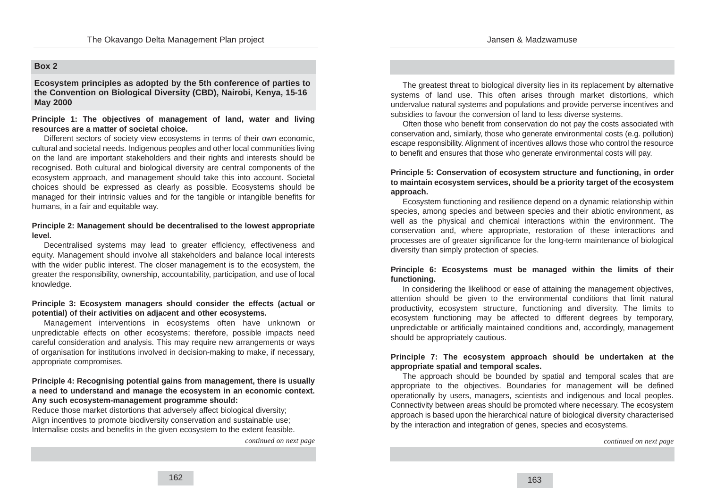### **Box 2**

### **Ecosystem principles as adopted by the 5th conference of parties to the Convention on Biological Diversity (CBD), Nairobi, Kenya, 15-16 May 2000**

### **Principle 1: The objectives of management of land, water and living resources are a matter of societal choice.**

Different sectors of society view ecosystems in terms of their own economic, cultural and societal needs. Indigenous peoples and other local communities living on the land are important stakeholders and their rights and interests should be recognised. Both cultural and biological diversity are central components of the ecosystem approach, and management should take this into account. Societal choices should be expressed as clearly as possible. Ecosystems should be managed for their intrinsic values and for the tangible or intangible benefits for humans, in a fair and equitable way.

#### **Principle 2: Management should be decentralised to the lowest appropriate level.**

Decentralised systems may lead to greater efficiency, effectiveness and equity. Management should involve all stakeholders and balance local interests with the wider public interest. The closer management is to the ecosystem, the greater the responsibility, ownership, accountability, participation, and use of local knowledge.

### **Principle 3: Ecosystem managers should consider the effects (actual or potential) of their activities on adjacent and other ecosystems.**

Management interventions in ecosystems often have unknown or unpredictable effects on other ecosystems; therefore, possible impacts need careful consideration and analysis. This may require new arrangements or ways of organisation for institutions involved in decision-making to make, if necessary, appropriate compromises.

### **Principle 4: Recognising potential gains from management, there is usually a need to understand and manage the ecosystem in an economic context. Any such ecosystem-management programme should:**

Reduce those market distortions that adversely affect biological diversity; Align incentives to promote biodiversity conservation and sustainable use; Internalise costs and benefits in the given ecosystem to the extent feasible.

*continued on next page* 

The greatest threat to biological diversity lies in its replacement by alternative systems of land use. This often arises through market distortions, which undervalue natural systems and populations and provide perverse incentives and subsidies to favour the conversion of land to less diverse systems.

Often those who benefit from conservation do not pay the costs associated with conservation and, similarly, those who generate environmental costs (e.g. pollution) escape responsibility. Alignment of incentives allows those who control the resource to benefit and ensures that those who generate environmental costs will pay.

### **Principle 5: Conservation of ecosystem structure and functioning, in order to maintain ecosystem services, should be a priority target of the ecosystem approach.**

Ecosystem functioning and resilience depend on a dynamic relationship within species, among species and between species and their abiotic environment, as well as the physical and chemical interactions within the environment. The conservation and, where appropriate, restoration of these interactions and processes are of greater significance for the long-term maintenance of biological diversity than simply protection of species.

### **Principle 6: Ecosystems must be managed within the limits of their functioning.**

In considering the likelihood or ease of attaining the management objectives, attention should be given to the environmental conditions that limit natural productivity, ecosystem structure, functioning and diversity. The limits to ecosystem functioning may be affected to different degrees by temporary, unpredictable or artificially maintained conditions and, accordingly, management should be appropriately cautious.

### **Principle 7: The ecosystem approach should be undertaken at the appropriate spatial and temporal scales.**

The approach should be bounded by spatial and temporal scales that are appropriate to the objectives. Boundaries for management will be defined operationally by users, managers, scientists and indigenous and local peoples. Connectivity between areas should be promoted where necessary. The ecosystem approach is based upon the hierarchical nature of biological diversity characterised by the interaction and integration of genes, species and ecosystems.

*continued on next page*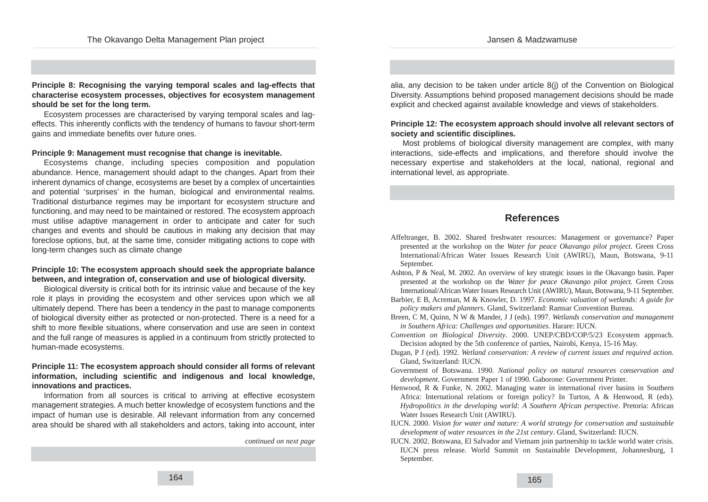**Principle 8: Recognising the varying temporal scales and lag-effects that characterise ecosystem processes, objectives for ecosystem management should be set for the long term.**

Ecosystem processes are characterised by varying temporal scales and lageffects. This inherently conflicts with the tendency of humans to favour short-term gains and immediate benefits over future ones.

#### **Principle 9: Management must recognise that change is inevitable.**

Ecosystems change, including species composition and population abundance. Hence, management should adapt to the changes. Apart from their inherent dynamics of change, ecosystems are beset by a complex of uncertainties and potential 'surprises' in the human, biological and environmental realms. Traditional disturbance regimes may be important for ecosystem structure and functioning, and may need to be maintained or restored. The ecosystem approach must utilise adaptive management in order to anticipate and cater for such changes and events and should be cautious in making any decision that may foreclose options, but, at the same time, consider mitigating actions to cope with long-term changes such as climate change

### **Principle 10: The ecosystem approach should seek the appropriate balance between, and integration of, conservation and use of biological diversity.**

Biological diversity is critical both for its intrinsic value and because of the key role it plays in providing the ecosystem and other services upon which we all ultimately depend. There has been a tendency in the past to manage components of biological diversity either as protected or non-protected. There is a need for a shift to more flexible situations, where conservation and use are seen in context and the full range of measures is applied in a continuum from strictly protected to human-made ecosystems.

### **Principle 11: The ecosystem approach should consider all forms of relevant information, including scientific and indigenous and local knowledge, innovations and practices.**

Information from all sources is critical to arriving at effective ecosystem management strategies. A much better knowledge of ecosystem functions and the impact of human use is desirable. All relevant information from any concerned area should be shared with all stakeholders and actors, taking into account, inter

*continued on next page* 

alia, any decision to be taken under article 8(j) of the Convention on Biological Diversity. Assumptions behind proposed management decisions should be made explicit and checked against available knowledge and views of stakeholders.

### **Principle 12: The ecosystem approach should involve all relevant sectors of society and scientific disciplines.**

Most problems of biological diversity management are complex, with many interactions, side-effects and implications, and therefore should involve the necessary expertise and stakeholders at the local, national, regional and international level, as appropriate.

## **References**

- Affeltranger, B. 2002. Shared freshwater resources: Management or governance? Paper presented at the workshop on the *Water for peace Okavango pilot project.* Green Cross International/African Water Issues Research Unit (AWIRU), Maun, Botswana, 9-11 September.
- Ashton, P & Neal, M. 2002. An overview of key strategic issues in the Okavango basin. Paper presented at the workshop on the *Water for peace Okavango pilot project.* Green Cross International/African Water Issues Research Unit (AWIRU), Maun, Botswana, 9-11 September.
- Barbier, E B, Acreman, M & Knowler, D. 1997. *Economic valuation of wetlands: A guide for policy makers and planners*. Gland, Switzerland: Ramsar Convention Bureau.
- Breen, C M, Quinn, N W & Mander, J J (eds). 1997. *Wetlands conservation and management in Southern Africa: Challenges and opportunities*. Harare: IUCN.
- *Convention on Biological Diversity*. 2000. UNEP/CBD/COP/5/23 Ecosystem approach. Decision adopted by the 5th conference of parties, Nairobi, Kenya, 15-16 May.
- Dugan, P J (ed). 1992. *Wetland conservation: A review of current issues and required action.* Gland, Switzerland: IUCN.
- Government of Botswana. 1990. *National policy on natural resources conservation and development*. Government Paper 1 of 1990. Gaborone: Government Printer.
- Henwood, R & Funke, N. 2002. Managing water in international river basins in Southern Africa: International relations or foreign policy? In Turton, A & Henwood, R (eds). *Hydropolitics in the developing world: A Southern African perspective*. Pretoria: African Water Issues Research Unit (AWIRU).
- IUCN. 2000. *Vision for water and nature: A world strategy for conservation and sustainable development of water resources in the 21st century*. Gland, Switzerland: IUCN.
- IUCN. 2002. Botswana, El Salvador and Vietnam join partnership to tackle world water crisis. IUCN press release. World Summit on Sustainable Development, Johannesburg, 1 September.